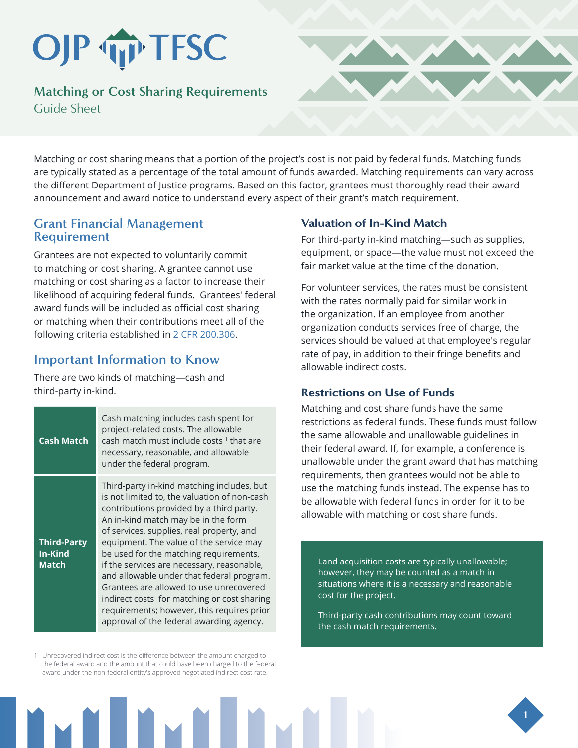# OJP TP TFSC

**Matching or Cost Sharing Requirements**  Guide Sheet



Matching or cost sharing means that a portion of the project's cost is not paid by federal funds. Matching funds are typically stated as a percentage of the total amount of funds awarded. Matching requirements can vary across the different Department of Justice programs. Based on this factor, grantees must thoroughly read their award announcement and award notice to understand every aspect of their grant's match requirement.

## **Grant Financial Management Requirement**

Grantees are not expected to voluntarily commit to matching or cost sharing. A grantee cannot use matching or cost sharing as a factor to increase their likelihood of acquiring federal funds. Grantees' federal award funds will be included as official cost sharing or matching when their contributions meet all of the following criteria established in [2 CFR 200.306](https://www.ecfr.gov/cgi-bin/text-idx?SID=cd9fd2cc3cd740ba5b19c97d194473b6&mc=true&node=se2.1.200_1306&rgn=div8).

# **Important Information to Know**

There are two kinds of matching—cash and third-party in-kind.

| <b>Cash Match</b>                             | Cash matching includes cash spent for<br>project-related costs. The allowable<br>cash match must include costs 1 that are<br>necessary, reasonable, and allowable<br>under the federal program.                                                                                                                                                                                                                                                                                                                                                                                                |
|-----------------------------------------------|------------------------------------------------------------------------------------------------------------------------------------------------------------------------------------------------------------------------------------------------------------------------------------------------------------------------------------------------------------------------------------------------------------------------------------------------------------------------------------------------------------------------------------------------------------------------------------------------|
| <b>Third-Party</b><br>In-Kind<br><b>Match</b> | Third-party in-kind matching includes, but<br>is not limited to, the valuation of non-cash<br>contributions provided by a third party.<br>An in-kind match may be in the form<br>of services, supplies, real property, and<br>equipment. The value of the service may<br>be used for the matching requirements,<br>if the services are necessary, reasonable,<br>and allowable under that federal program.<br>Grantees are allowed to use unrecovered<br>indirect costs for matching or cost sharing<br>requirements; however, this requires prior<br>approval of the federal awarding agency. |

1 Unrecovered indirect cost is the difference between the amount charged to the federal award and the amount that could have been charged to the federal award under the non-federal entity's approved negotiated indirect cost rate.

### Valuation of In-Kind Match

For third-party in-kind matching—such as supplies, equipment, or space—the value must not exceed the fair market value at the time of the donation.

For volunteer services, the rates must be consistent with the rates normally paid for similar work in the organization. If an employee from another organization conducts services free of charge, the services should be valued at that employee's regular rate of pay, in addition to their fringe benefits and allowable indirect costs.

## Restrictions on Use of Funds

Matching and cost share funds have the same restrictions as federal funds. These funds must follow the same allowable and unallowable guidelines in their federal award. If, for example, a conference is unallowable under the grant award that has matching requirements, then grantees would not be able to use the matching funds instead. The expense has to be allowable with federal funds in order for it to be allowable with matching or cost share funds.

Land acquisition costs are typically unallowable; however, they may be counted as a match in situations where it is a necessary and reasonable cost for the project.

Third-party cash contributions may count toward the cash match requirements.